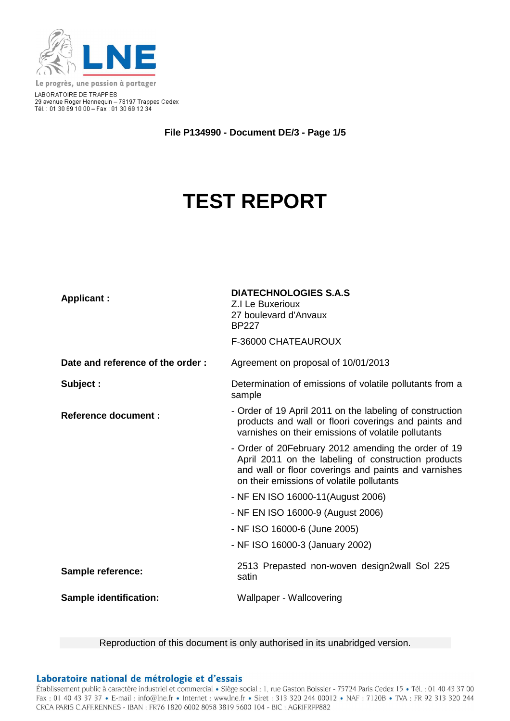

Le progrès, une passion à partager LABORATOIRE DE TRAPPES<br>29 avenue Roger Hennequin – 78197 Trappes Cedex<br>Tél. : 01 30 69 10 00 – Fax : 01 30 69 12 34

**File P134990 - Document DE/3 - Page 1/5**

# **TEST REPORT**

| <b>Applicant:</b>                | <b>DIATECHNOLOGIES S.A.S</b><br>Z.I Le Buxerioux<br>27 boulevard d'Anvaux<br><b>BP227</b><br>F-36000 CHATEAUROUX                                                                                                |  |
|----------------------------------|-----------------------------------------------------------------------------------------------------------------------------------------------------------------------------------------------------------------|--|
| Date and reference of the order: | Agreement on proposal of 10/01/2013                                                                                                                                                                             |  |
| Subject :                        | Determination of emissions of volatile pollutants from a<br>sample                                                                                                                                              |  |
| <b>Reference document:</b>       | - Order of 19 April 2011 on the labeling of construction<br>products and wall or floori coverings and paints and<br>varnishes on their emissions of volatile pollutants                                         |  |
|                                  | - Order of 20February 2012 amending the order of 19<br>April 2011 on the labeling of construction products<br>and wall or floor coverings and paints and varnishes<br>on their emissions of volatile pollutants |  |
|                                  | - NF EN ISO 16000-11(August 2006)                                                                                                                                                                               |  |
|                                  | - NF EN ISO 16000-9 (August 2006)                                                                                                                                                                               |  |
|                                  | - NF ISO 16000-6 (June 2005)                                                                                                                                                                                    |  |
|                                  | - NF ISO 16000-3 (January 2002)                                                                                                                                                                                 |  |
| <b>Sample reference:</b>         | 2513 Prepasted non-woven design2wall Sol 225<br>satin                                                                                                                                                           |  |
| <b>Sample identification:</b>    | Wallpaper - Wallcovering                                                                                                                                                                                        |  |

Reproduction of this document is only authorised in its unabridged version.

#### Laboratoire national de métrologie et d'essais

Établissement public à caractère industriel et commercial · Siège social : 1, rue Gaston Boissier - 75724 Paris Cedex 15 · Tél. : 01 40 43 37 00 Fax: 01 40 43 37 37 • E-mail: info@lne.fr • Internet: www.lne.fr • Siret: 313 320 244 00012 • NAF: 7120B • TVA: FR 92 313 320 244 CRCA PARIS C.AFF.RENNES - IBAN : FR76 1820 6002 8058 3819 5600 104 - BIC : AGRIFRPP882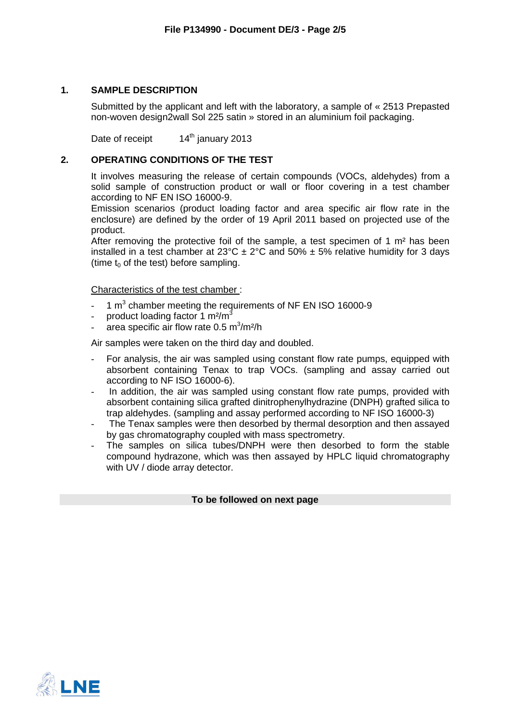## **1. SAMPLE DESCRIPTION**

Submitted by the applicant and left with the laboratory, a sample of « 2513 Prepasted non-woven design2wall Sol 225 satin » stored in an aluminium foil packaging.

Date of receipt 14<sup>th</sup> january 2013

## **2. OPERATING CONDITIONS OF THE TEST**

It involves measuring the release of certain compounds (VOCs, aldehydes) from a solid sample of construction product or wall or floor covering in a test chamber according to NF EN ISO 16000-9.

Emission scenarios (product loading factor and area specific air flow rate in the enclosure) are defined by the order of 19 April 2011 based on projected use of the product.

After removing the protective foil of the sample, a test specimen of 1  $m<sup>2</sup>$  has been installed in a test chamber at 23°C  $\pm$  2°C and 50%  $\pm$  5% relative humidity for 3 days (time  $t_0$  of the test) before sampling.

Characteristics of the test chamber :

- $-1$  m<sup>3</sup> chamber meeting the requirements of NF EN ISO 16000-9
- product loading factor 1 m<sup>2</sup>/m<sup>3</sup>
- area specific air flow rate  $0.5 \text{ m}^3/\text{m}^2/\text{h}$

Air samples were taken on the third day and doubled.

- For analysis, the air was sampled using constant flow rate pumps, equipped with absorbent containing Tenax to trap VOCs. (sampling and assay carried out according to NF ISO 16000-6).
- In addition, the air was sampled using constant flow rate pumps, provided with absorbent containing silica grafted dinitrophenylhydrazine (DNPH) grafted silica to trap aldehydes. (sampling and assay performed according to NF ISO 16000-3)
- The Tenax samples were then desorbed by thermal desorption and then assayed by gas chromatography coupled with mass spectrometry.
- The samples on silica tubes/DNPH were then desorbed to form the stable compound hydrazone, which was then assayed by HPLC liquid chromatography with UV / diode array detector.

#### **To be followed on next page**

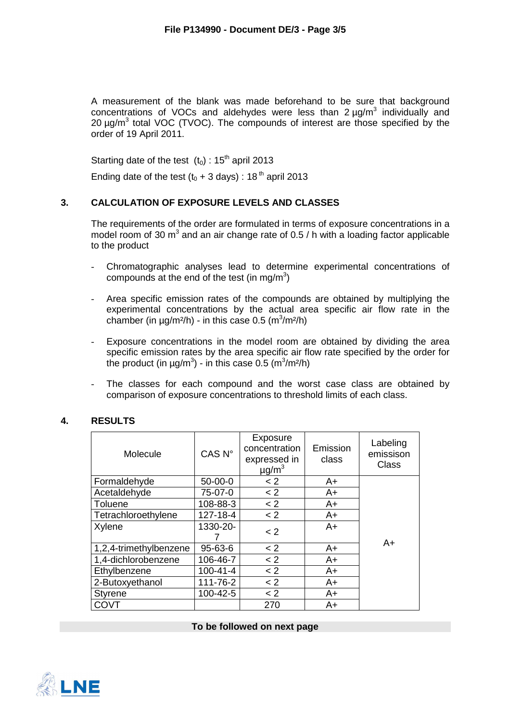A measurement of the blank was made beforehand to be sure that background concentrations of VOCs and aldehydes were less than  $2 \mu g/m^3$  individually and 20  $\mu$ g/m<sup>3</sup> total VOC (TVOC). The compounds of interest are those specified by the order of 19 April 2011.

Starting date of the test  $(t_0)$ : 15<sup>th</sup> april 2013 Ending date of the test  $(t_0 + 3 \text{ days})$ : 18<sup>th</sup> april 2013

## **3. CALCULATION OF EXPOSURE LEVELS AND CLASSES**

The requirements of the order are formulated in terms of exposure concentrations in a model room of 30  $m^3$  and an air change rate of 0.5 / h with a loading factor applicable to the product

- Chromatographic analyses lead to determine experimental concentrations of compounds at the end of the test (in mg/m<sup>3</sup>)
- Area specific emission rates of the compounds are obtained by multiplying the experimental concentrations by the actual area specific air flow rate in the chamber (in  $\mu$ g/m<sup>2</sup>/h) - in this case 0.5 (m<sup>3</sup>/m<sup>2</sup>/h)
- Exposure concentrations in the model room are obtained by dividing the area specific emission rates by the area specific air flow rate specified by the order for the product (in  $\mu$ g/m<sup>3</sup>) - in this case 0.5 (m<sup>3</sup>/m<sup>2</sup>/h)
- The classes for each compound and the worst case class are obtained by comparison of exposure concentrations to threshold limits of each class.

| Molecule               | CAS <sub>N°</sub> | Exposure<br>concentration<br>expressed in<br>$\mu$ g/m <sup>3</sup> | Emission<br>class | Labeling<br>emissison<br><b>Class</b> |
|------------------------|-------------------|---------------------------------------------------------------------|-------------------|---------------------------------------|
| Formaldehyde           | $50-00-0$         | < 2                                                                 | A+                |                                       |
| Acetaldehyde           | 75-07-0           | < 2                                                                 | A+                |                                       |
| Toluene                | 108-88-3          | < 2                                                                 | $A+$              |                                       |
| Tetrachloroethylene    | 127-18-4          | < 2                                                                 | $A+$              |                                       |
| Xylene                 | 1330-20-          | $\lt 2$                                                             | $A+$              |                                       |
| 1,2,4-trimethylbenzene | 95-63-6           | < 2                                                                 | A+                | A+                                    |
| 1,4-dichlorobenzene    | 106-46-7          | < 2                                                                 | $A+$              |                                       |
| Ethylbenzene           | $100 - 41 - 4$    | < 2                                                                 | A+                |                                       |
| 2-Butoxyethanol        | 111-76-2          | < 2                                                                 | A+                |                                       |
| <b>Styrene</b>         | 100-42-5          | < 2                                                                 | $A+$              |                                       |
| COVT                   |                   | 270                                                                 | A+                |                                       |

### **4. RESULTS**

**To be followed on next page**

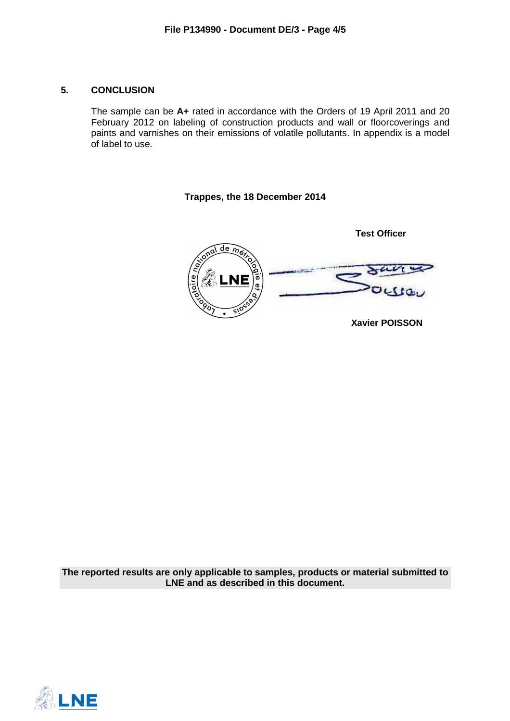## **5. CONCLUSION**

The sample can be **A+** rated in accordance with the Orders of 19 April 2011 and 20 February 2012 on labeling of construction products and wall or floorcoverings and paints and varnishes on their emissions of volatile pollutants. In appendix is a model of label to use.

**Trappes, the 18 December 2014** 

**Test Officer**  $\overline{\text{de }m_{\text{e}}}$ **Xavier POISSON** 

**The reported results are only applicable to samples, products or material submitted to LNE and as described in this document.**